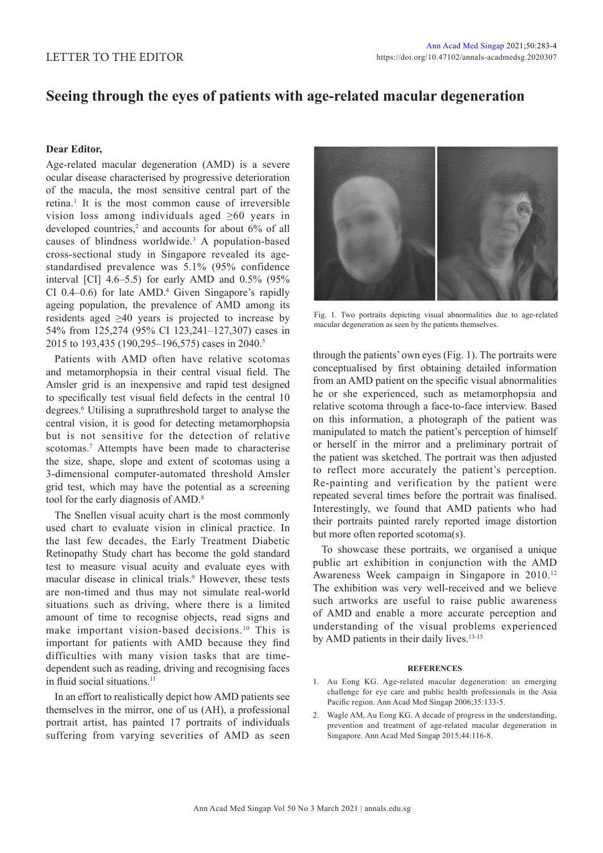## **Seeing through the eyes of patients with age-related macular degeneration**

## **Dear Editor,**

Age-related macular degeneration (AMD) is a severe ocular disease characterised by progressive deterioration of the macula, the most sensitive central part of the retina.<sup>1</sup> It is the most common cause of irreversible vision loss among individuals aged ≥60 years in developed countries,<sup>2</sup> and accounts for about 6% of all causes of blindness worldwide.<sup>3</sup> A population-based cross-sectional study in Singapore revealed its agestandardised prevalence was 5.1% (95% confidence interval [CI]  $4.6-5.5$ ) for early AMD and  $0.5\%$  (95%  $CI$  0.4–0.6) for late AMD.<sup>4</sup> Given Singapore's rapidly ageing population, the prevalence of AMD among its residents aged ≥40 years is projected to increase by 54% from 125,274 (95% CI 123,241–127,307) cases in 2015 to 193,435 (190,295–196,575) cases in 2040.<sup>5</sup>

Patients with AMD often have relative scotomas and metamorphopsia in their central visual field. The Amsler grid is an inexpensive and rapid test designed to specifically test visual field defects in the central 10 degrees.<sup>6</sup> Utilising a suprathreshold target to analyse the central vision, it is good for detecting metamorphopsia but is not sensitive for the detection of relative scotomas.<sup>7</sup> Attempts have been made to characterise the size, shape, slope and extent of scotomas using a 3-dimensional computer-automated threshold Amsler grid test, which may have the potential as a screening tool for the early diagnosis of AMD.<sup>8</sup>

The Snellen visual acuity chart is the most commonly used chart to evaluate vision in clinical practice. In the last few decades, the Early Treatment Diabetic Retinopathy Study chart has become the gold standard test to measure visual acuity and evaluate eyes with macular disease in clinical trials.<sup>9</sup> However, these tests are non-timed and thus may not simulate real-world situations such as driving, where there is a limited amount of time to recognise objects, read signs and make important vision-based decisions.<sup>10</sup> This is important for patients with AMD because they find difficulties with many vision tasks that are timedependent such as reading, driving and recognising faces in fluid social situations.<sup>11</sup>

In an effort to realistically depict how AMD patients see themselves in the mirror, one of us (AH), a professional portrait artist, has painted 17 portraits of individuals suffering from varying severities of AMD as seen



Fig. 1. Two portraits depicting visual abnormalities due to age-related macular degeneration as seen by the patients themselves.

through the patients' own eyes (Fig. 1). The portraits were conceptualised by first obtaining detailed information from an AMD patient on the specific visual abnormalities he or she experienced, such as metamorphopsia and relative scotoma through a face-to-face interview. Based on this information, a photograph of the patient was manipulated to match the patient's perception of himself or herself in the mirror and a preliminary portrait of the patient was sketched. The portrait was then adjusted to reflect more accurately the patient's perception. Re-painting and verification by the patient were repeated several times before the portrait was finalised. Interestingly, we found that AMD patients who had their portraits painted rarely reported image distortion but more often reported scotoma(s).

To showcase these portraits, we organised a unique public art exhibition in conjunction with the AMD Awareness Week campaign in Singapore in 2010.<sup>12</sup> The exhibition was very well-received and we believe such artworks are useful to raise public awareness of AMD and enable a more accurate perception and understanding of the visual problems experienced by AMD patients in their daily lives.<sup>13-15</sup>

## **REFERENCES**

- 1. Au Eong KG. Age-related macular degeneration: an emerging challenge for eye care and public health professionals in the Asia Pacific region. Ann Acad Med Singap 2006;35:133-5.
- 2. Wagle AM, Au Eong KG. A decade of progress in the understanding, prevention and treatment of age-related macular degeneration in Singapore. Ann Acad Med Singap 2015;44:116-8.